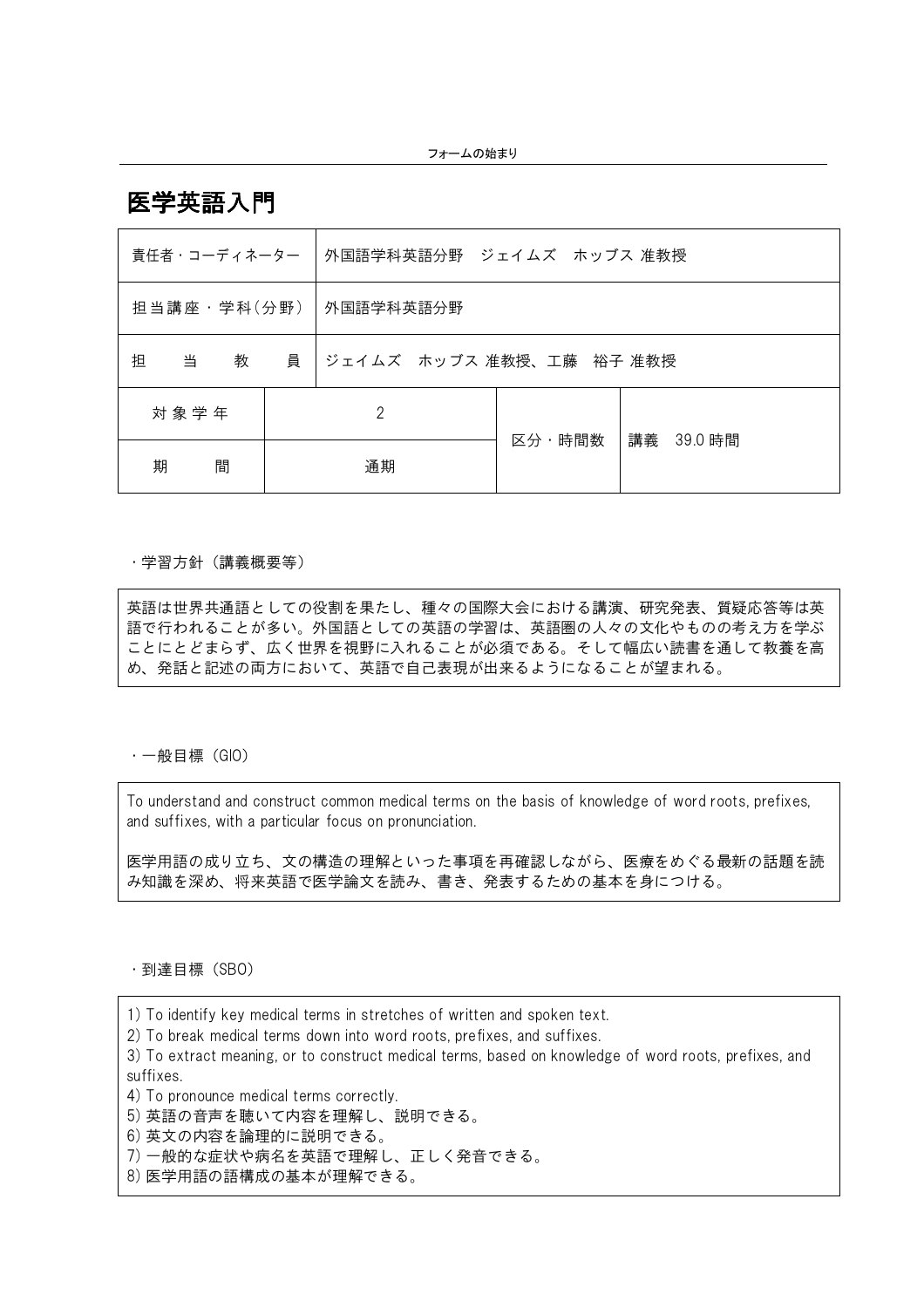医学英語入門

|             |                                          | 責任者・コーディネーター |           | 外国語学科英語分野 ジェイムズ ホッブス 准教授 |            |  |  |  |
|-------------|------------------------------------------|--------------|-----------|--------------------------|------------|--|--|--|
| 担当講座・学科(分野) |                                          |              | 外国語学科英語分野 |                          |            |  |  |  |
| 担           | 員<br> ジェイムズ ホッブス 准教授、工藤 裕子 准教授<br>当<br>教 |              |           |                          |            |  |  |  |
| 対象学年        |                                          | 2            |           |                          | 講義 39.0 時間 |  |  |  |
|             | 期<br>間                                   |              | 通期        |                          | 区分・時間数     |  |  |  |

#### ・学習方針(講義概要等)

英語は世界共通語としての役割を果たし、種々の国際大会における講演、研究発表、質疑応答等は英 語で行われることが多い。外国語としての英語の学習は、英語圏の人々の文化やものの考え方を学ぶ ことにとどまらず、広く世界を視野に入れることが必須である。そして幅広い読書を通して教養を高 め、発話と記述の両方において、英語で自己表現が出来るようになることが望まれる。

・一般目標(GIO)

To understand and construct common medical terms on the basis of knowledge of word roots, prefixes, and suffixes, with a particular focus on pronunciation.

医学用語の成り立ち、文の構造の理解といった事項を再確認しながら、医療をめぐる最新の話題を読 み知識を深め、将来英語で医学論文を読み、書き、発表するための基本を身につける。

・到達目標(SBO)

1) To identify key medical terms in stretches of written and spoken text.

2) To break medical terms down into word roots, prefixes, and suffixes.

3) To extract meaning, or to construct medical terms, based on knowledge of word roots, prefixes, and suffixes.

4) To pronounce medical terms correctly.

5) 英語の音声を聴いて内容を理解し、説明できる。

6) 英文の内容を論理的に説明できる。

7) 一般的な症状や病名を英語で理解し、正しく発音できる。

8) 医学用語の語構成の基本が理解できる。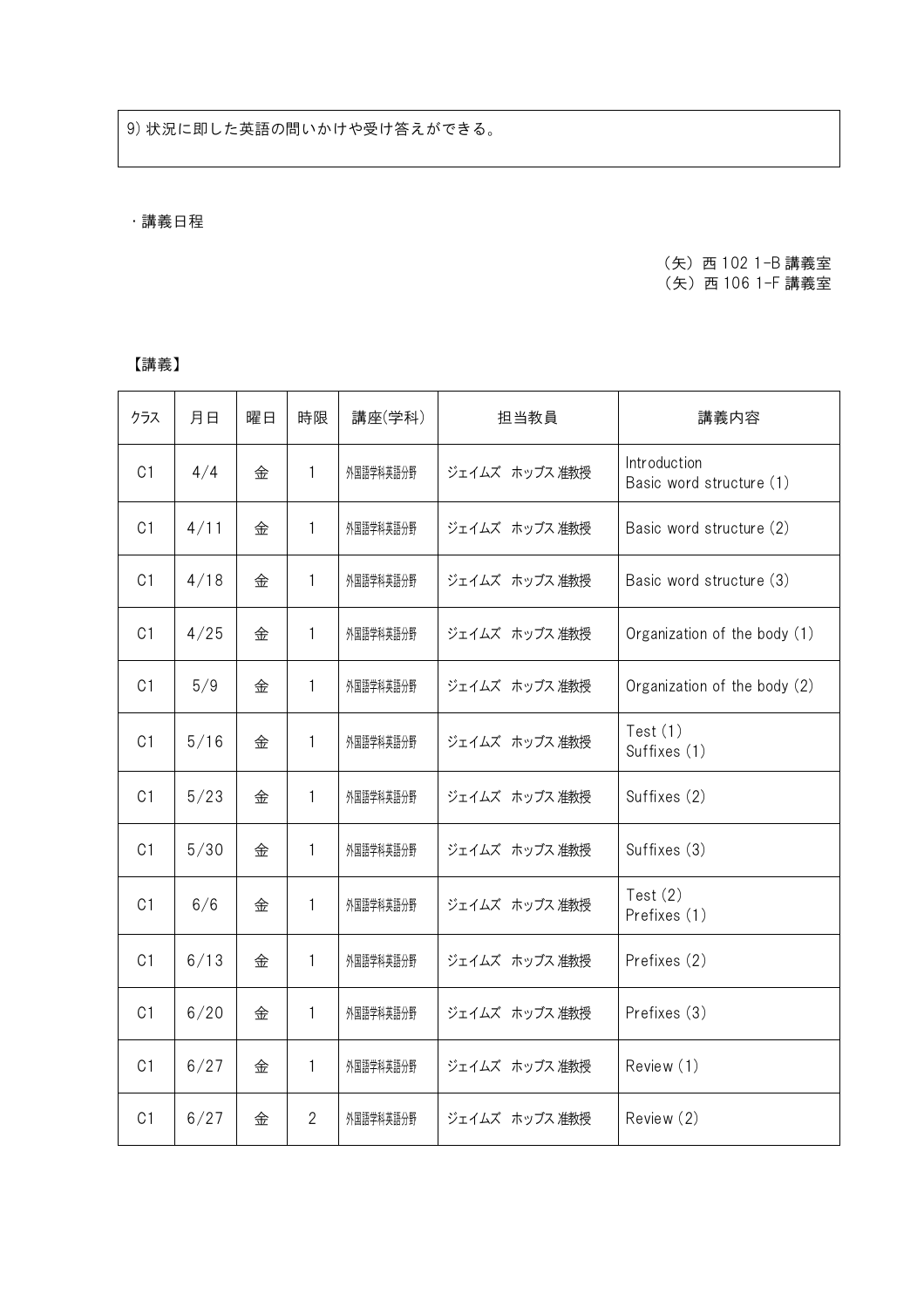# ・講義日程

## (矢)西 102 1-B 講義室 (矢)西 106 1-F 講義室

### 【講義】

| クラス            | 月日     | 曜日 | 時限             | 講座(学科)    | 担当教員           | 講義内容                                     |
|----------------|--------|----|----------------|-----------|----------------|------------------------------------------|
| C <sub>1</sub> | 4/4    | 金  | 1              | 外国語学科英語分野 | ジェイムズ ホッブス 准教授 | Introduction<br>Basic word structure (1) |
| C <sub>1</sub> | 4/11   | 金  | 1              | 外国語学科英語分野 | ジェイムズ ホッブス 准教授 | Basic word structure (2)                 |
| C <sub>1</sub> | 4/18   | 金  | 1              | 外国語学科英語分野 | ジェイムズ ホッブス 准教授 | Basic word structure (3)                 |
| C <sub>1</sub> | 4/25   | 金  | 1              | 外国語学科英語分野 | ジェイムズ ホッブス 准教授 | Organization of the body (1)             |
| C <sub>1</sub> | 5/9    | 金  | 1              | 外国語学科英語分野 | ジェイムズ ホッブス 准教授 | Organization of the body (2)             |
| C <sub>1</sub> | 5/16   | 金  | 1              | 外国語学科英語分野 | ジェイムズ ホッブス 准教授 | Test $(1)$<br>Suffixes (1)               |
| C <sub>1</sub> | $5/23$ | 金  | 1              | 外国語学科英語分野 | ジェイムズ ホッブス 准教授 | Suffixes (2)                             |
| C <sub>1</sub> | 5/30   | 金  | 1              | 外国語学科英語分野 | ジェイムズ ホッブス 准教授 | Suffixes (3)                             |
| C <sub>1</sub> | 6/6    | 金  | 1              | 外国語学科英語分野 | ジェイムズ ホッブス 准教授 | Test $(2)$<br>Prefixes (1)               |
| C <sub>1</sub> | 6/13   | 金  | 1              | 外国語学科英語分野 | ジェイムズ ホッブス 准教授 | Prefixes (2)                             |
| C <sub>1</sub> | 6/20   | 金  | 1              | 外国語学科英語分野 | ジェイムズ ホッブス 准教授 | Prefixes (3)                             |
| C <sub>1</sub> | 6/27   | 金  | 1              | 外国語学科英語分野 | ジェイムズ ホッブス 准教授 | Review (1)                               |
| C <sub>1</sub> | 6/27   | 金  | $\overline{2}$ | 外国語学科英語分野 | ジェイムズ ホッブス 准教授 | Review (2)                               |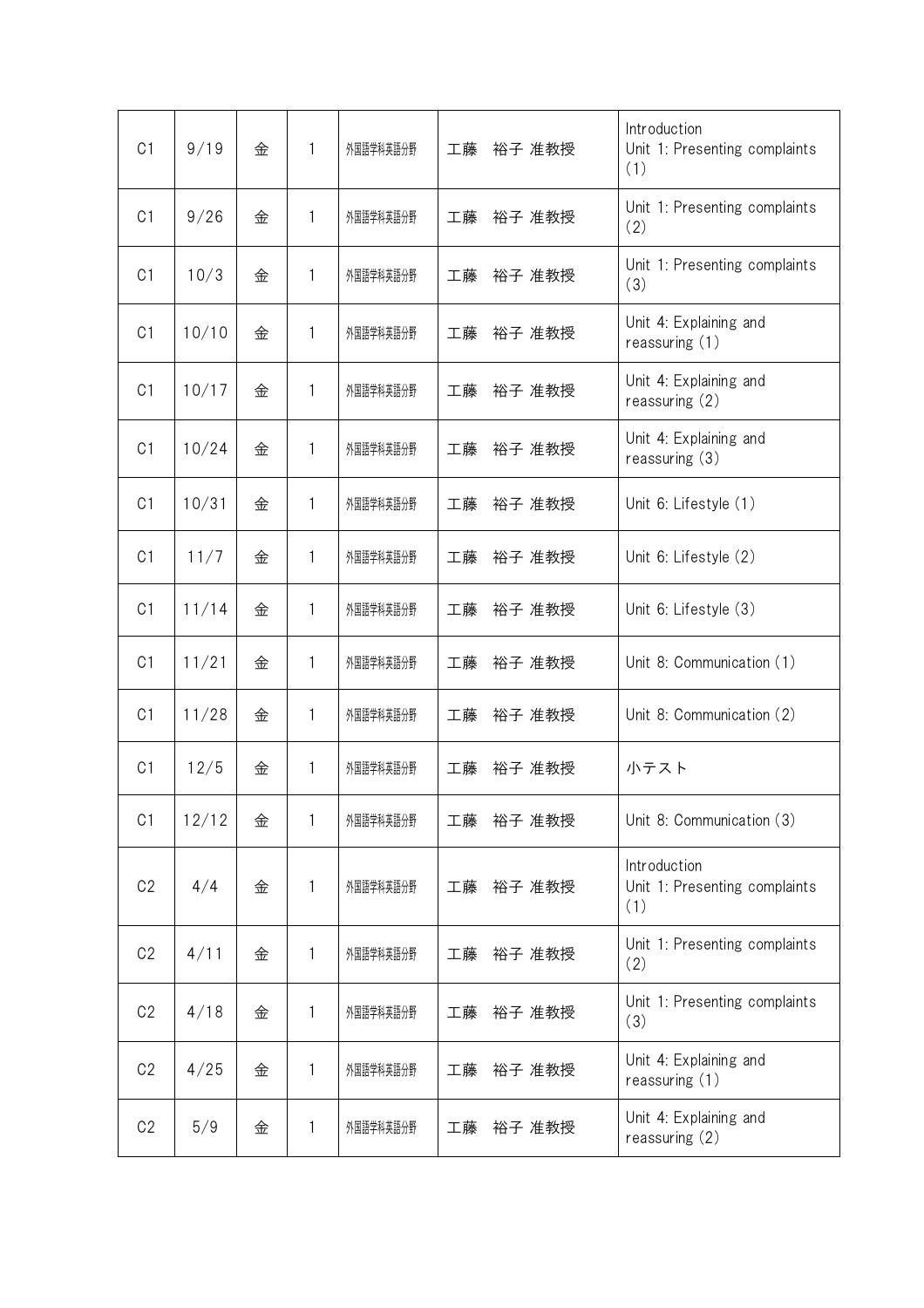| C <sub>1</sub> | 9/19  | 金 | 1            | 外国語学科英語分野 | 工藤<br>裕子 准教授 | Introduction<br>Unit 1: Presenting complaints<br>(1) |
|----------------|-------|---|--------------|-----------|--------------|------------------------------------------------------|
| C <sub>1</sub> | 9/26  | 金 | 1            | 外国語学科英語分野 | 裕子 准教授<br>工藤 | Unit 1: Presenting complaints<br>(2)                 |
| C <sub>1</sub> | 10/3  | 金 | 1            | 外国語学科英語分野 | 工藤<br>裕子 准教授 | Unit 1: Presenting complaints<br>(3)                 |
| C <sub>1</sub> | 10/10 | 金 | 1            | 外国語学科英語分野 | 工藤<br>裕子 准教授 | Unit 4: Explaining and<br>reassuring (1)             |
| C <sub>1</sub> | 10/17 | 金 | 1            | 外国語学科英語分野 | 工藤<br>裕子 准教授 | Unit 4: Explaining and<br>reassuring $(2)$           |
| C <sub>1</sub> | 10/24 | 金 | 1            | 外国語学科英語分野 | 工藤<br>裕子 准教授 | Unit 4: Explaining and<br>reassuring (3)             |
| C <sub>1</sub> | 10/31 | 金 | 1            | 外国語学科英語分野 | 工藤<br>裕子 准教授 | Unit 6: Lifestyle (1)                                |
| C <sub>1</sub> | 11/7  | 金 | 1            | 外国語学科英語分野 | 工藤<br>裕子 准教授 | Unit 6: Lifestyle (2)                                |
| C <sub>1</sub> | 11/14 | 金 | 1            | 外国語学科英語分野 | 工藤<br>裕子 准教授 | Unit 6: Lifestyle (3)                                |
| C <sub>1</sub> | 11/21 | 金 | 1            | 外国語学科英語分野 | 工藤<br>裕子 准教授 | Unit 8: Communication (1)                            |
| C <sub>1</sub> | 11/28 | 金 | $\mathbf{1}$ | 外国語学科英語分野 | 工藤<br>裕子 准教授 | Unit 8: Communication (2)                            |
| C <sub>1</sub> | 12/5  | 金 | 1            | 外国語学科英語分野 | 工藤<br>裕子 准教授 | 小テスト                                                 |
| C <sub>1</sub> | 12/12 | 金 | 1            | 外国語学科英語分野 | 裕子 准教授<br>工藤 | Unit 8: Communication (3)                            |
| C <sub>2</sub> | 4/4   | 金 | 1            | 外国語学科英語分野 | 裕子 准教授<br>工藤 | Introduction<br>Unit 1: Presenting complaints<br>(1) |
| C <sub>2</sub> | 4/11  | 金 | 1            | 外国語学科英語分野 | 裕子 准教授<br>工藤 | Unit 1: Presenting complaints<br>(2)                 |
| C <sub>2</sub> | 4/18  | 金 | 1            | 外国語学科英語分野 | 裕子 准教授<br>工藤 | Unit 1: Presenting complaints<br>(3)                 |
| C <sub>2</sub> | 4/25  | 金 | 1            | 外国語学科英語分野 | 裕子 准教授<br>工藤 | Unit 4: Explaining and<br>reassuring (1)             |
| C <sub>2</sub> | 5/9   | 金 | 1            | 外国語学科英語分野 | 工藤<br>裕子 准教授 | Unit 4: Explaining and<br>reassuring $(2)$           |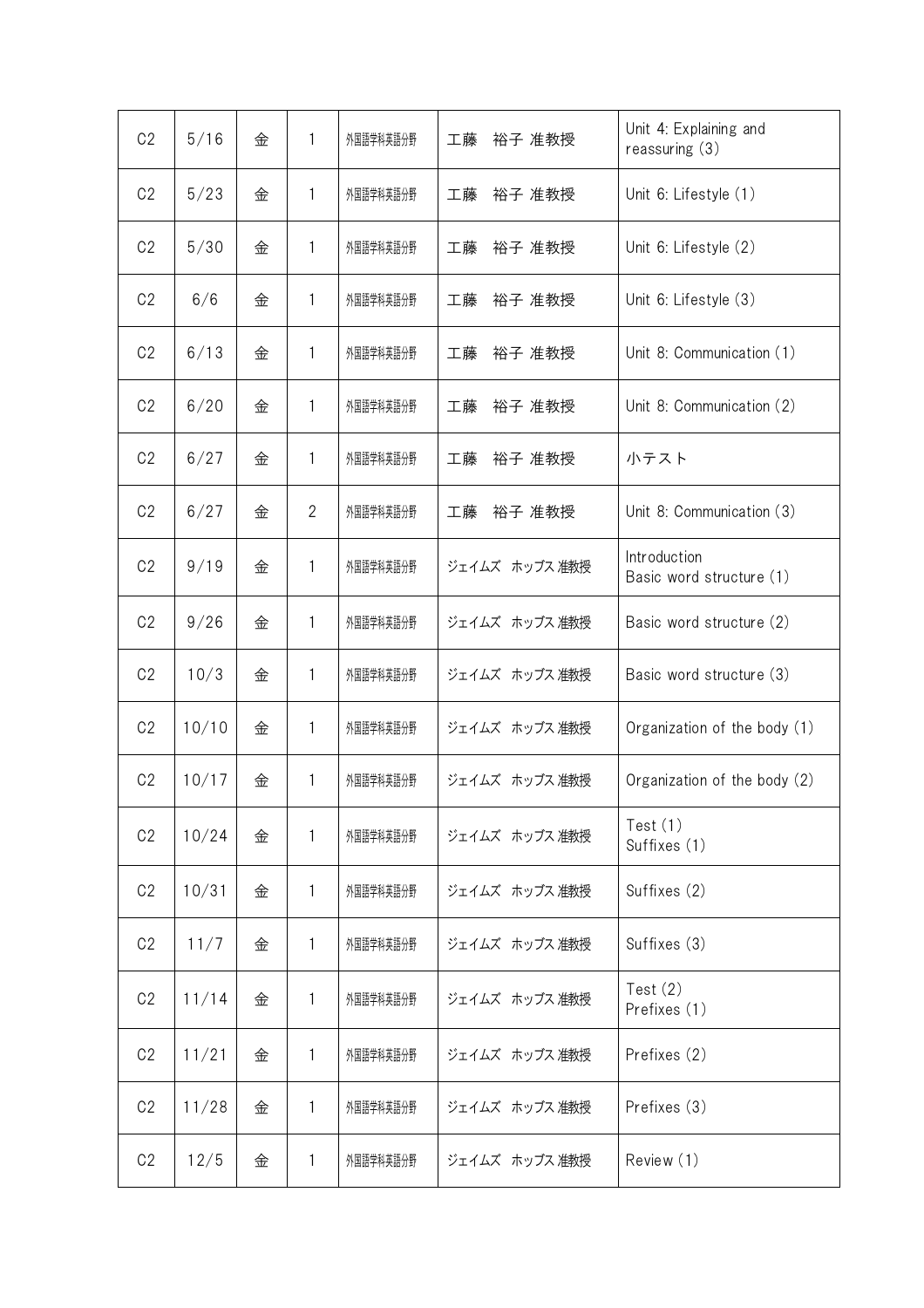| C <sub>2</sub> | 5/16  | 金 | 1              | 外国語学科英語分野 | 工藤<br>裕子 准教授   | Unit 4: Explaining and<br>reassuring $(3)$ |
|----------------|-------|---|----------------|-----------|----------------|--------------------------------------------|
| C <sub>2</sub> | 5/23  | 金 | $\mathbf{1}$   | 外国語学科英語分野 | 工藤<br>裕子 准教授   | Unit 6: Lifestyle (1)                      |
| C <sub>2</sub> | 5/30  | 金 | 1              | 外国語学科英語分野 | 工藤<br>裕子 准教授   | Unit 6: Lifestyle (2)                      |
| C <sub>2</sub> | 6/6   | 金 | 1              | 外国語学科英語分野 | 裕子 准教授<br>工藤   | Unit 6: Lifestyle (3)                      |
| C <sub>2</sub> | 6/13  | 金 | 1              | 外国語学科英語分野 | 工藤<br>裕子 准教授   | Unit 8: Communication (1)                  |
| C <sub>2</sub> | 6/20  | 金 | 1              | 外国語学科英語分野 | 工藤<br>裕子 准教授   | Unit 8: Communication (2)                  |
| C <sub>2</sub> | 6/27  | 金 | 1              | 外国語学科英語分野 | 裕子 准教授<br>工藤   | 小テスト                                       |
| C <sub>2</sub> | 6/27  | 金 | $\overline{2}$ | 外国語学科英語分野 | 工藤<br>裕子 准教授   | Unit 8: Communication (3)                  |
| C <sub>2</sub> | 9/19  | 金 | $\mathbf{1}$   | 外国語学科英語分野 | ジェイムズ ホッブス 准教授 | Introduction<br>Basic word structure (1)   |
| C <sub>2</sub> | 9/26  | 金 | $\mathbf{1}$   | 外国語学科英語分野 | ジェイムズ ホッブス 准教授 | Basic word structure (2)                   |
| C <sub>2</sub> | 10/3  | 金 | 1              | 外国語学科英語分野 | ジェイムズ ホッブス 准教授 | Basic word structure (3)                   |
| C <sub>2</sub> | 10/10 | 金 | 1              | 外国語学科英語分野 | ジェイムズ ホッブス 准教授 | Organization of the body (1)               |
| C <sub>2</sub> | 10/17 | 金 | 1              | 外国語学科英語分野 | ジェイムズ ホッブス 准教授 | Organization of the body (2)               |
| C <sub>2</sub> | 10/24 | 金 | 1              | 外国語学科英語分野 | ジェイムズ ホッブス 准教授 | Test $(1)$<br>Suffixes (1)                 |
| C <sub>2</sub> | 10/31 | 金 | 1              | 外国語学科英語分野 | ジェイムズ ホッブス 准教授 | Suffixes (2)                               |
| C <sub>2</sub> | 11/7  | 金 | 1              | 外国語学科英語分野 | ジェイムズ ホッブス 准教授 | Suffixes (3)                               |
| C <sub>2</sub> | 11/14 | 金 | 1              | 外国語学科英語分野 | ジェイムズ ホッブス 准教授 | Test $(2)$<br>Prefixes (1)                 |
| C <sub>2</sub> | 11/21 | 金 | 1              | 外国語学科英語分野 | ジェイムズ ホッブス 准教授 | Prefixes (2)                               |
| C <sub>2</sub> | 11/28 | 金 | 1              | 外国語学科英語分野 | ジェイムズ ホッブス 准教授 | Prefixes (3)                               |
| C <sub>2</sub> | 12/5  | 金 | 1              | 外国語学科英語分野 | ジェイムズ ホッブス 准教授 | Review (1)                                 |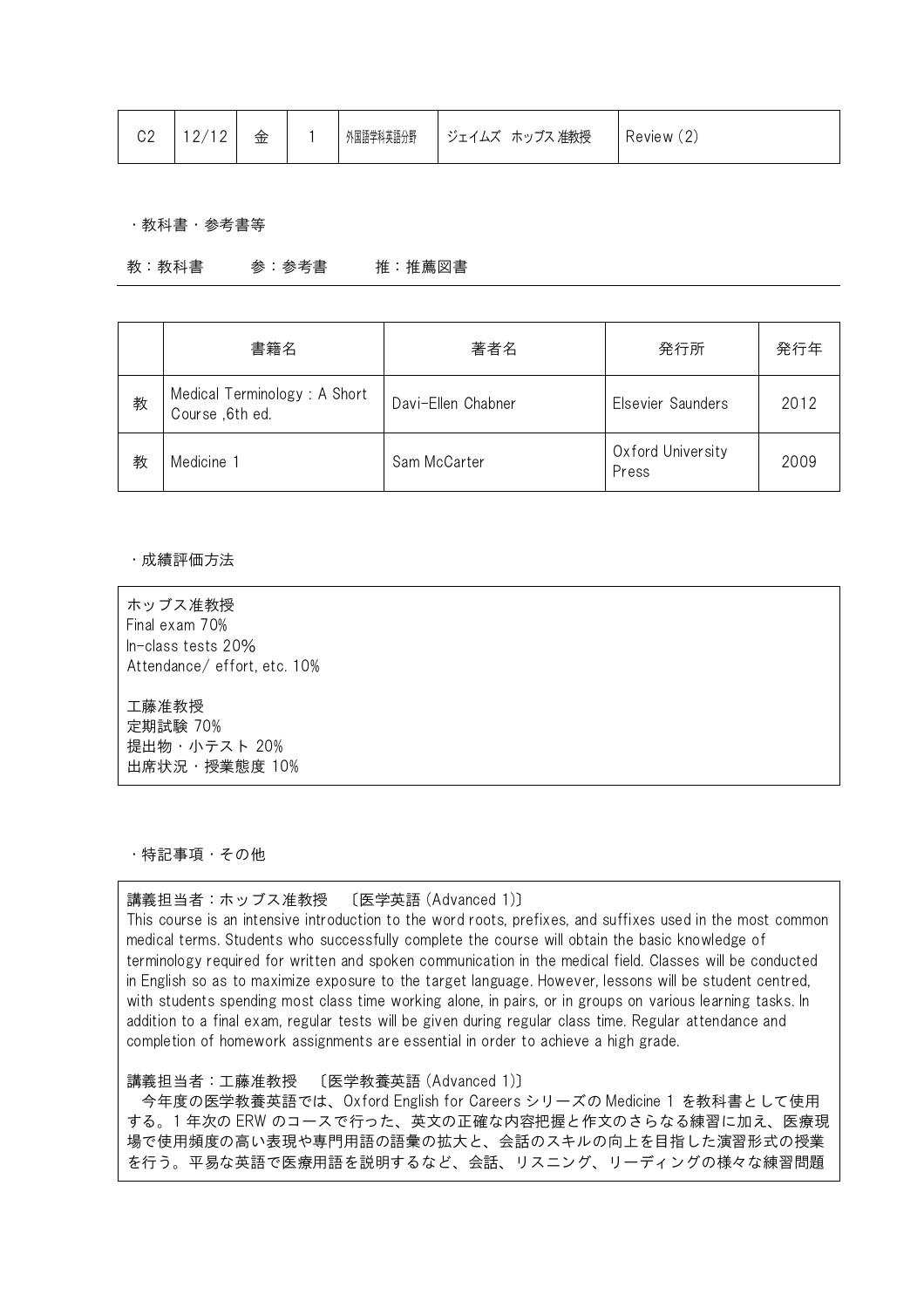| C <sub>2</sub> | 12/12 | 金 |  | 外国語学科英語分野 | │ ジェイムズ ホッブス 准教授 | Review (2) |
|----------------|-------|---|--|-----------|------------------|------------|
|----------------|-------|---|--|-----------|------------------|------------|

・教科書・参考書等

教:教科書 参:参考書 推:推薦図書

|   | 書籍名                                             | 著者名                | 発行所                        | 発行年  |
|---|-------------------------------------------------|--------------------|----------------------------|------|
| 教 | Medical Terminology: A Short<br>Course, 6th ed. | Davi-Ellen Chabner | Elsevier Saunders          | 2012 |
| 教 | Medicine <sup>-</sup>                           | Sam McCarter       | Oxford University<br>Press | 2009 |

・成績評価方法

ホッブス准教授 Final exam 70% In-class tests 20% Attendance/ effort, etc. 10%

工藤准教授 定期試験 70% 提出物・小テスト 20% 出席状況・授業態度 10%

・特記事項・その他

### 講義担当者:ホッブス准教授 〔医学英語 (Advanced 1)〕

This course is an intensive introduction to the word roots, prefixes, and suffixes used in the most common medical terms. Students who successfully complete the course will obtain the basic knowledge of terminology required for written and spoken communication in the medical field. Classes will be conducted in English so as to maximize exposure to the target language. However, lessons will be student centred, with students spending most class time working alone, in pairs, or in groups on various learning tasks. In addition to a final exam, regular tests will be given during regular class time. Regular attendance and completion of homework assignments are essential in order to achieve a high grade.

講義担当者:工藤准教授 〔医学教養英語 (Advanced 1)〕

今年度の医学教養英語では、Oxford English for Careers シリーズの Medicine 1 を教科書として使用 する。1 年次の ERW のコースで行った、英文の正確な内容把握と作文のさらなる練習に加え、医療現 場で使用頻度の高い表現や専門用語の語彙の拡大と、会話のスキルの向上を目指した演習形式の授業 を行う。平易な英語で医療用語を説明するなど、会話、リスニング、リーディングの様々な練習問題